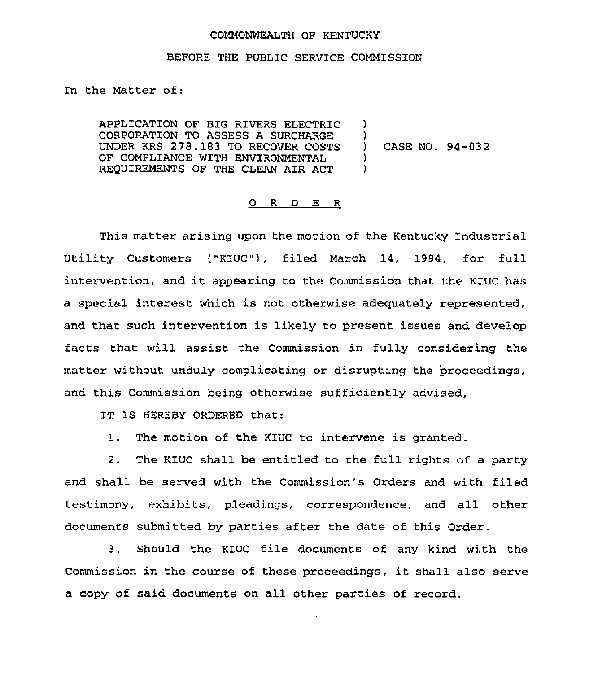## COMMONWEALTH QF KENTUCKY

## BEFORE THE PUBLIC SERVICE COMMISSION

In the Matter of:

APPLICATION OF BIG RIVERS ELECTRIC CORPORATION TO ASSESS A SURCHARGE UNDER KRS 278.183 TO RECOVER COSTS OF COMPLIANCE WITH ENVIRONMENTAL REQUIREMENTS OF THE CLEAN AIR ACT  $\lambda$  $\bigg\}$ ) CASE NO. 94-032 )  $\lambda$ 

## 0 R <sup>D</sup> E R

This matter arising upon the motion of the Kentucky Industrial Utility Customers ("KIUC"), filed March 14, 1994, for full intervention, and it appearing to the Commission that the K1UC has a special interest which is not otherwise adequately represented, and that such intervention is likely to present issues and develop facts that will assist the Commission in fully considering the matter without unduly complicating or disrupting the 'proceedings, and this Commission being otherwise sufficiently advised,

IT IS HEREBY ORDERED that:

1. The motion of the KIUC to intervene is granted.

2. The KIUC shall be entitled to the full rights of a party and shall be served with the Commission's Orders and with filed testimony, exhibits, pleadings, correspondence, and all other documents submitted by parties after the date of this Order.

3. Should the KZUC file documents of any kind with the Commission in the course of these proceedings, it shall also serve a copy of said documents on all other parties of record.